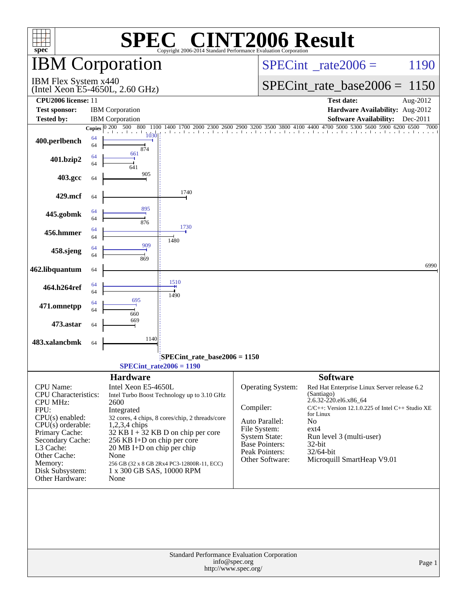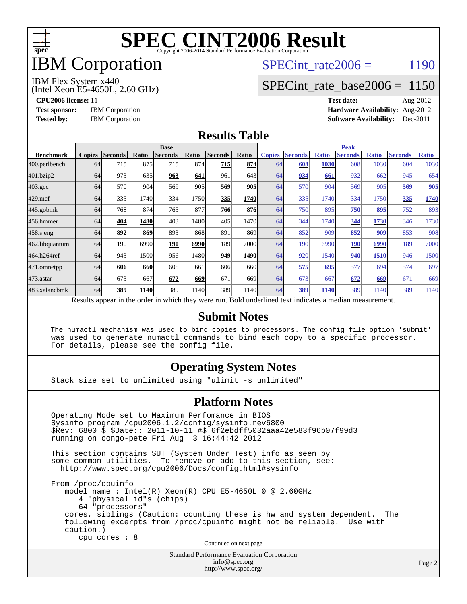

## IBM Corporation

### SPECint rate  $2006 = 1190$

IBM Flex System x440

(Intel Xeon E5-4650L, 2.60 GHz)

[SPECint\\_rate\\_base2006 =](http://www.spec.org/auto/cpu2006/Docs/result-fields.html#SPECintratebase2006) 1150

**[CPU2006 license:](http://www.spec.org/auto/cpu2006/Docs/result-fields.html#CPU2006license)** 11 **[Test date:](http://www.spec.org/auto/cpu2006/Docs/result-fields.html#Testdate)** Aug-2012 **[Test sponsor:](http://www.spec.org/auto/cpu2006/Docs/result-fields.html#Testsponsor)** IBM Corporation **[Hardware Availability:](http://www.spec.org/auto/cpu2006/Docs/result-fields.html#HardwareAvailability)** Aug-2012 **[Tested by:](http://www.spec.org/auto/cpu2006/Docs/result-fields.html#Testedby)** IBM Corporation **[Software Availability:](http://www.spec.org/auto/cpu2006/Docs/result-fields.html#SoftwareAvailability)** Dec-2011

#### **[Results Table](http://www.spec.org/auto/cpu2006/Docs/result-fields.html#ResultsTable)**

|                    | <b>Base</b>   |                |       |                                                                                                          |       |                |       | <b>Peak</b>   |                |              |                |              |                |              |
|--------------------|---------------|----------------|-------|----------------------------------------------------------------------------------------------------------|-------|----------------|-------|---------------|----------------|--------------|----------------|--------------|----------------|--------------|
| <b>Benchmark</b>   | <b>Copies</b> | <b>Seconds</b> | Ratio | <b>Seconds</b>                                                                                           | Ratio | <b>Seconds</b> | Ratio | <b>Copies</b> | <b>Seconds</b> | <b>Ratio</b> | <b>Seconds</b> | <b>Ratio</b> | <b>Seconds</b> | <b>Ratio</b> |
| 400.perlbench      | 64            | 715            | 875   | 715                                                                                                      | 874   | 715            | 874   | 64            | 608            | 1030         | 608            | 1030         | 604            | 1030         |
| 401.bzip2          | 64            | 973            | 635   | 963                                                                                                      | 641   | 961            | 643   | 64            | 934            | 661          | 932            | 662          | 945            | 654          |
| $403.\mathrm{gcc}$ | 64            | 570            | 904   | 569                                                                                                      | 905   | 569            | 905   | 64            | 570            | 904          | 569            | 905          | 569            | 905          |
| $429$ .mcf         | 64            | 335            | 1740  | 334                                                                                                      | 1750  | 335            | 1740  | 64            | 335            | 1740         | 334            | 1750         | 335            | 1740         |
| $445$ .gobmk       | 64            | 768            | 874   | 765                                                                                                      | 877   | 766            | 876   | 64            | 750            | 895          | 750            | 895          | 752            | 893          |
| 456.hmmer          | 64            | 404            | 1480  | 403                                                                                                      | 1480  | 405            | 1470  | 64            | 344            | 1740         | 344            | 1730         | 346            | 1730         |
| $458$ .sjeng       | 64            | 892            | 869   | 893                                                                                                      | 868   | 891            | 869   | 64            | 852            | 909          | 852            | 909          | 853            | 908          |
| 462.libquantum     | 64            | 190            | 6990  | 190                                                                                                      | 6990  | 189            | 7000  | 64            | 190            | 6990         | 190            | 6990         | 189            | 7000         |
| 464.h264ref        | 64            | 943            | 1500  | 956                                                                                                      | 1480  | 949            | 1490  | 64            | 920            | 1540         | 940            | 1510         | 946            | 1500         |
| 471.omnetpp        | 64            | 606            | 660   | 605                                                                                                      | 661   | 606            | 660l  | 64            | 575            | 695          | 577            | 694          | 574            | 697          |
| $473$ . astar      | 64            | 673            | 667   | 672                                                                                                      | 669   | 671            | 669I  | 64            | 673            | 667          | 672            | 669          | 671            | 669          |
| 483.xalancbmk      | 64            | 389            | 1140  | 389                                                                                                      | 1140  | 389            | 1140  | 64            | 389            | 1140         | 389            | 1140         | 389            | 1140         |
|                    |               |                |       | Results appear in the order in which they were run. Bold underlined text indicates a median measurement. |       |                |       |               |                |              |                |              |                |              |

#### **[Submit Notes](http://www.spec.org/auto/cpu2006/Docs/result-fields.html#SubmitNotes)**

 The numactl mechanism was used to bind copies to processors. The config file option 'submit' was used to generate numactl commands to bind each copy to a specific processor. For details, please see the config file.

#### **[Operating System Notes](http://www.spec.org/auto/cpu2006/Docs/result-fields.html#OperatingSystemNotes)**

Stack size set to unlimited using "ulimit -s unlimited"

#### **[Platform Notes](http://www.spec.org/auto/cpu2006/Docs/result-fields.html#PlatformNotes)**

 Operating Mode set to Maximum Perfomance in BIOS Sysinfo program /cpu2006.1.2/config/sysinfo.rev6800 \$Rev: 6800 \$ \$Date:: 2011-10-11 #\$ 6f2ebdff5032aaa42e583f96b07f99d3 running on congo-pete Fri Aug 3 16:44:42 2012 This section contains SUT (System Under Test) info as seen by some common utilities. To remove or add to this section, see: <http://www.spec.org/cpu2006/Docs/config.html#sysinfo> From /proc/cpuinfo model name : Intel(R) Xeon(R) CPU E5-4650L 0 @ 2.60GHz 4 "physical id"s (chips) 64 "processors" cores, siblings (Caution: counting these is hw and system dependent. The following excerpts from /proc/cpuinfo might not be reliable. Use with caution.) cpu cores : 8 Continued on next page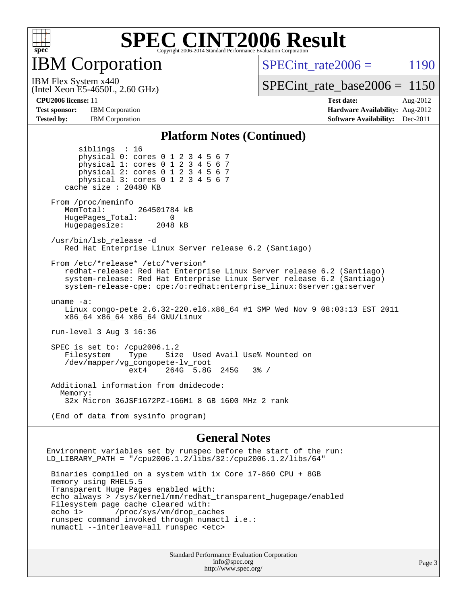

IBM Corporation

SPECint rate  $2006 = 1190$ 

(Intel Xeon E5-4650L, 2.60 GHz) IBM Flex System x440

[SPECint\\_rate\\_base2006 =](http://www.spec.org/auto/cpu2006/Docs/result-fields.html#SPECintratebase2006) 1150

**[Tested by:](http://www.spec.org/auto/cpu2006/Docs/result-fields.html#Testedby)** IBM Corporation **IBM** Corporation **[Software Availability:](http://www.spec.org/auto/cpu2006/Docs/result-fields.html#SoftwareAvailability)** Dec-2011

**[CPU2006 license:](http://www.spec.org/auto/cpu2006/Docs/result-fields.html#CPU2006license)** 11 **[Test date:](http://www.spec.org/auto/cpu2006/Docs/result-fields.html#Testdate)** Aug-2012 **[Test sponsor:](http://www.spec.org/auto/cpu2006/Docs/result-fields.html#Testsponsor)** IBM Corporation **[Hardware Availability:](http://www.spec.org/auto/cpu2006/Docs/result-fields.html#HardwareAvailability)** Aug-2012

#### **[Platform Notes \(Continued\)](http://www.spec.org/auto/cpu2006/Docs/result-fields.html#PlatformNotes)**

 siblings : 16 physical 0: cores 0 1 2 3 4 5 6 7 physical 1: cores 0 1 2 3 4 5 6 7 physical 2: cores 0 1 2 3 4 5 6 7 physical 3: cores 0 1 2 3 4 5 6 7 cache size : 20480 KB From /proc/meminfo MemTotal: 264501784 kB HugePages\_Total: 0<br>Hugepagesize: 2048 kB Hugepagesize: /usr/bin/lsb\_release -d Red Hat Enterprise Linux Server release 6.2 (Santiago) From /etc/\*release\* /etc/\*version\* redhat-release: Red Hat Enterprise Linux Server release 6.2 (Santiago) system-release: Red Hat Enterprise Linux Server release 6.2 (Santiago) system-release-cpe: cpe:/o:redhat:enterprise\_linux:6server:ga:server uname -a: Linux congo-pete 2.6.32-220.el6.x86\_64 #1 SMP Wed Nov 9 08:03:13 EST 2011 x86\_64 x86\_64 x86\_64 GNU/Linux run-level 3 Aug 3 16:36 SPEC is set to: /cpu2006.1.2 Filesystem Type Size Used Avail Use% Mounted on /dev/mapper/vg\_congopete-lv\_root ext4 264G 5.8G 245G 3% / Additional information from dmidecode: Memory: 32x Micron 36JSF1G72PZ-1G6M1 8 GB 1600 MHz 2 rank

(End of data from sysinfo program)

#### **[General Notes](http://www.spec.org/auto/cpu2006/Docs/result-fields.html#GeneralNotes)**

Environment variables set by runspec before the start of the run: LD LIBRARY PATH = "/cpu2006.1.2/libs/32:/cpu2006.1.2/libs/64" Binaries compiled on a system with 1x Core i7-860 CPU + 8GB memory using RHEL5.5 Transparent Huge Pages enabled with: echo always > /sys/kernel/mm/redhat\_transparent\_hugepage/enabled Filesystem page cache cleared with: echo 1> /proc/sys/vm/drop\_caches runspec command invoked through numactl i.e.: numactl --interleave=all runspec <etc>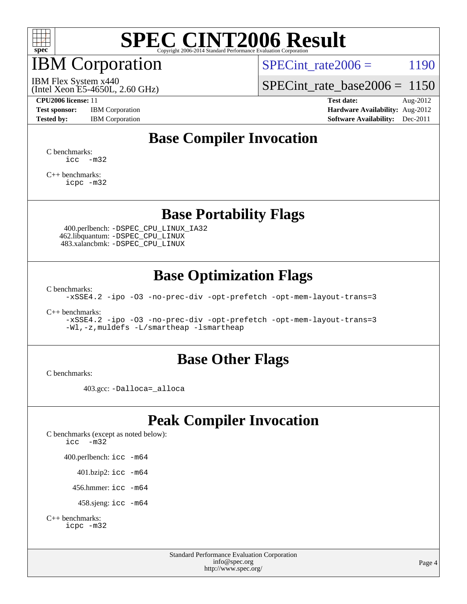

## IBM Corporation

SPECint rate $2006 = 1190$ 

(Intel Xeon E5-4650L, 2.60 GHz) IBM Flex System x440

[SPECint\\_rate\\_base2006 =](http://www.spec.org/auto/cpu2006/Docs/result-fields.html#SPECintratebase2006) 1150

**[CPU2006 license:](http://www.spec.org/auto/cpu2006/Docs/result-fields.html#CPU2006license)** 11 **[Test date:](http://www.spec.org/auto/cpu2006/Docs/result-fields.html#Testdate)** Aug-2012 **[Test sponsor:](http://www.spec.org/auto/cpu2006/Docs/result-fields.html#Testsponsor)** IBM Corporation **[Hardware Availability:](http://www.spec.org/auto/cpu2006/Docs/result-fields.html#HardwareAvailability)** Aug-2012 **[Tested by:](http://www.spec.org/auto/cpu2006/Docs/result-fields.html#Testedby)** IBM Corporation **[Software Availability:](http://www.spec.org/auto/cpu2006/Docs/result-fields.html#SoftwareAvailability)** Dec-2011

### **[Base Compiler Invocation](http://www.spec.org/auto/cpu2006/Docs/result-fields.html#BaseCompilerInvocation)**

[C benchmarks](http://www.spec.org/auto/cpu2006/Docs/result-fields.html#Cbenchmarks):  $\text{icc}$   $-\text{m32}$ 

[C++ benchmarks:](http://www.spec.org/auto/cpu2006/Docs/result-fields.html#CXXbenchmarks) [icpc -m32](http://www.spec.org/cpu2006/results/res2012q3/cpu2006-20120810-24168.flags.html#user_CXXbase_intel_icpc_4e5a5ef1a53fd332b3c49e69c3330699)

#### **[Base Portability Flags](http://www.spec.org/auto/cpu2006/Docs/result-fields.html#BasePortabilityFlags)**

 400.perlbench: [-DSPEC\\_CPU\\_LINUX\\_IA32](http://www.spec.org/cpu2006/results/res2012q3/cpu2006-20120810-24168.flags.html#b400.perlbench_baseCPORTABILITY_DSPEC_CPU_LINUX_IA32) 462.libquantum: [-DSPEC\\_CPU\\_LINUX](http://www.spec.org/cpu2006/results/res2012q3/cpu2006-20120810-24168.flags.html#b462.libquantum_baseCPORTABILITY_DSPEC_CPU_LINUX) 483.xalancbmk: [-DSPEC\\_CPU\\_LINUX](http://www.spec.org/cpu2006/results/res2012q3/cpu2006-20120810-24168.flags.html#b483.xalancbmk_baseCXXPORTABILITY_DSPEC_CPU_LINUX)

### **[Base Optimization Flags](http://www.spec.org/auto/cpu2006/Docs/result-fields.html#BaseOptimizationFlags)**

[C benchmarks](http://www.spec.org/auto/cpu2006/Docs/result-fields.html#Cbenchmarks):

[-xSSE4.2](http://www.spec.org/cpu2006/results/res2012q3/cpu2006-20120810-24168.flags.html#user_CCbase_f-xSSE42_f91528193cf0b216347adb8b939d4107) [-ipo](http://www.spec.org/cpu2006/results/res2012q3/cpu2006-20120810-24168.flags.html#user_CCbase_f-ipo) [-O3](http://www.spec.org/cpu2006/results/res2012q3/cpu2006-20120810-24168.flags.html#user_CCbase_f-O3) [-no-prec-div](http://www.spec.org/cpu2006/results/res2012q3/cpu2006-20120810-24168.flags.html#user_CCbase_f-no-prec-div) [-opt-prefetch](http://www.spec.org/cpu2006/results/res2012q3/cpu2006-20120810-24168.flags.html#user_CCbase_f-opt-prefetch) [-opt-mem-layout-trans=3](http://www.spec.org/cpu2006/results/res2012q3/cpu2006-20120810-24168.flags.html#user_CCbase_f-opt-mem-layout-trans_a7b82ad4bd7abf52556d4961a2ae94d5)

[C++ benchmarks:](http://www.spec.org/auto/cpu2006/Docs/result-fields.html#CXXbenchmarks)

[-xSSE4.2](http://www.spec.org/cpu2006/results/res2012q3/cpu2006-20120810-24168.flags.html#user_CXXbase_f-xSSE42_f91528193cf0b216347adb8b939d4107) [-ipo](http://www.spec.org/cpu2006/results/res2012q3/cpu2006-20120810-24168.flags.html#user_CXXbase_f-ipo) [-O3](http://www.spec.org/cpu2006/results/res2012q3/cpu2006-20120810-24168.flags.html#user_CXXbase_f-O3) [-no-prec-div](http://www.spec.org/cpu2006/results/res2012q3/cpu2006-20120810-24168.flags.html#user_CXXbase_f-no-prec-div) [-opt-prefetch](http://www.spec.org/cpu2006/results/res2012q3/cpu2006-20120810-24168.flags.html#user_CXXbase_f-opt-prefetch) [-opt-mem-layout-trans=3](http://www.spec.org/cpu2006/results/res2012q3/cpu2006-20120810-24168.flags.html#user_CXXbase_f-opt-mem-layout-trans_a7b82ad4bd7abf52556d4961a2ae94d5) [-Wl,-z,muldefs](http://www.spec.org/cpu2006/results/res2012q3/cpu2006-20120810-24168.flags.html#user_CXXbase_link_force_multiple1_74079c344b956b9658436fd1b6dd3a8a) [-L/smartheap -lsmartheap](http://www.spec.org/cpu2006/results/res2012q3/cpu2006-20120810-24168.flags.html#user_CXXbase_SmartHeap_7c9e394a5779e1a7fec7c221e123830c)

#### **[Base Other Flags](http://www.spec.org/auto/cpu2006/Docs/result-fields.html#BaseOtherFlags)**

[C benchmarks](http://www.spec.org/auto/cpu2006/Docs/result-fields.html#Cbenchmarks):

403.gcc: [-Dalloca=\\_alloca](http://www.spec.org/cpu2006/results/res2012q3/cpu2006-20120810-24168.flags.html#b403.gcc_baseEXTRA_CFLAGS_Dalloca_be3056838c12de2578596ca5467af7f3)

### **[Peak Compiler Invocation](http://www.spec.org/auto/cpu2006/Docs/result-fields.html#PeakCompilerInvocation)**

[C benchmarks \(except as noted below\)](http://www.spec.org/auto/cpu2006/Docs/result-fields.html#Cbenchmarksexceptasnotedbelow): [icc -m32](http://www.spec.org/cpu2006/results/res2012q3/cpu2006-20120810-24168.flags.html#user_CCpeak_intel_icc_5ff4a39e364c98233615fdd38438c6f2) 400.perlbench: [icc -m64](http://www.spec.org/cpu2006/results/res2012q3/cpu2006-20120810-24168.flags.html#user_peakCCLD400_perlbench_intel_icc_64bit_bda6cc9af1fdbb0edc3795bac97ada53) 401.bzip2: [icc -m64](http://www.spec.org/cpu2006/results/res2012q3/cpu2006-20120810-24168.flags.html#user_peakCCLD401_bzip2_intel_icc_64bit_bda6cc9af1fdbb0edc3795bac97ada53)

456.hmmer: [icc -m64](http://www.spec.org/cpu2006/results/res2012q3/cpu2006-20120810-24168.flags.html#user_peakCCLD456_hmmer_intel_icc_64bit_bda6cc9af1fdbb0edc3795bac97ada53)

458.sjeng: [icc -m64](http://www.spec.org/cpu2006/results/res2012q3/cpu2006-20120810-24168.flags.html#user_peakCCLD458_sjeng_intel_icc_64bit_bda6cc9af1fdbb0edc3795bac97ada53)

```
C++ benchmarks: 
icpc -m32
```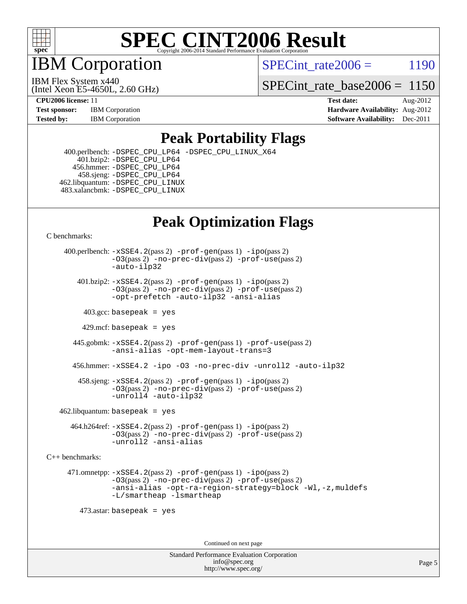

IBM Corporation

SPECint rate  $2006 = 1190$ 

(Intel Xeon E5-4650L, 2.60 GHz) IBM Flex System x440

[SPECint\\_rate\\_base2006 =](http://www.spec.org/auto/cpu2006/Docs/result-fields.html#SPECintratebase2006) 1150

**[CPU2006 license:](http://www.spec.org/auto/cpu2006/Docs/result-fields.html#CPU2006license)** 11 **[Test date:](http://www.spec.org/auto/cpu2006/Docs/result-fields.html#Testdate)** Aug-2012 **[Test sponsor:](http://www.spec.org/auto/cpu2006/Docs/result-fields.html#Testsponsor)** IBM Corporation **[Hardware Availability:](http://www.spec.org/auto/cpu2006/Docs/result-fields.html#HardwareAvailability)** Aug-2012 **[Tested by:](http://www.spec.org/auto/cpu2006/Docs/result-fields.html#Testedby)** IBM Corporation **IBM** Corporation **[Software Availability:](http://www.spec.org/auto/cpu2006/Docs/result-fields.html#SoftwareAvailability)** Dec-2011

#### **[Peak Portability Flags](http://www.spec.org/auto/cpu2006/Docs/result-fields.html#PeakPortabilityFlags)**

 400.perlbench: [-DSPEC\\_CPU\\_LP64](http://www.spec.org/cpu2006/results/res2012q3/cpu2006-20120810-24168.flags.html#b400.perlbench_peakCPORTABILITY_DSPEC_CPU_LP64) [-DSPEC\\_CPU\\_LINUX\\_X64](http://www.spec.org/cpu2006/results/res2012q3/cpu2006-20120810-24168.flags.html#b400.perlbench_peakCPORTABILITY_DSPEC_CPU_LINUX_X64)  $401.bzip2: -DSPEC_CPULP64$  456.hmmer: [-DSPEC\\_CPU\\_LP64](http://www.spec.org/cpu2006/results/res2012q3/cpu2006-20120810-24168.flags.html#suite_peakCPORTABILITY456_hmmer_DSPEC_CPU_LP64) 458.sjeng: [-DSPEC\\_CPU\\_LP64](http://www.spec.org/cpu2006/results/res2012q3/cpu2006-20120810-24168.flags.html#suite_peakCPORTABILITY458_sjeng_DSPEC_CPU_LP64) 462.libquantum: [-DSPEC\\_CPU\\_LINUX](http://www.spec.org/cpu2006/results/res2012q3/cpu2006-20120810-24168.flags.html#b462.libquantum_peakCPORTABILITY_DSPEC_CPU_LINUX) 483.xalancbmk: [-DSPEC\\_CPU\\_LINUX](http://www.spec.org/cpu2006/results/res2012q3/cpu2006-20120810-24168.flags.html#b483.xalancbmk_peakCXXPORTABILITY_DSPEC_CPU_LINUX)

### **[Peak Optimization Flags](http://www.spec.org/auto/cpu2006/Docs/result-fields.html#PeakOptimizationFlags)**

[C benchmarks](http://www.spec.org/auto/cpu2006/Docs/result-fields.html#Cbenchmarks):

 400.perlbench: [-xSSE4.2](http://www.spec.org/cpu2006/results/res2012q3/cpu2006-20120810-24168.flags.html#user_peakPASS2_CFLAGSPASS2_LDCFLAGS400_perlbench_f-xSSE42_f91528193cf0b216347adb8b939d4107)(pass 2) [-prof-gen](http://www.spec.org/cpu2006/results/res2012q3/cpu2006-20120810-24168.flags.html#user_peakPASS1_CFLAGSPASS1_LDCFLAGS400_perlbench_prof_gen_e43856698f6ca7b7e442dfd80e94a8fc)(pass 1) [-ipo](http://www.spec.org/cpu2006/results/res2012q3/cpu2006-20120810-24168.flags.html#user_peakPASS2_CFLAGSPASS2_LDCFLAGS400_perlbench_f-ipo)(pass 2) [-O3](http://www.spec.org/cpu2006/results/res2012q3/cpu2006-20120810-24168.flags.html#user_peakPASS2_CFLAGSPASS2_LDCFLAGS400_perlbench_f-O3)(pass 2) [-no-prec-div](http://www.spec.org/cpu2006/results/res2012q3/cpu2006-20120810-24168.flags.html#user_peakPASS2_CFLAGSPASS2_LDCFLAGS400_perlbench_f-no-prec-div)(pass 2) [-prof-use](http://www.spec.org/cpu2006/results/res2012q3/cpu2006-20120810-24168.flags.html#user_peakPASS2_CFLAGSPASS2_LDCFLAGS400_perlbench_prof_use_bccf7792157ff70d64e32fe3e1250b55)(pass 2) [-auto-ilp32](http://www.spec.org/cpu2006/results/res2012q3/cpu2006-20120810-24168.flags.html#user_peakCOPTIMIZE400_perlbench_f-auto-ilp32)  $401.bzip2: -xSSE4.2(pass 2) -prof-qen(pass 1) -ipo(pass 2)$  $401.bzip2: -xSSE4.2(pass 2) -prof-qen(pass 1) -ipo(pass 2)$  $401.bzip2: -xSSE4.2(pass 2) -prof-qen(pass 1) -ipo(pass 2)$  $401.bzip2: -xSSE4.2(pass 2) -prof-qen(pass 1) -ipo(pass 2)$  $401.bzip2: -xSSE4.2(pass 2) -prof-qen(pass 1) -ipo(pass 2)$ [-O3](http://www.spec.org/cpu2006/results/res2012q3/cpu2006-20120810-24168.flags.html#user_peakPASS2_CFLAGSPASS2_LDCFLAGS401_bzip2_f-O3)(pass 2) [-no-prec-div](http://www.spec.org/cpu2006/results/res2012q3/cpu2006-20120810-24168.flags.html#user_peakPASS2_CFLAGSPASS2_LDCFLAGS401_bzip2_f-no-prec-div)(pass 2) [-prof-use](http://www.spec.org/cpu2006/results/res2012q3/cpu2006-20120810-24168.flags.html#user_peakPASS2_CFLAGSPASS2_LDCFLAGS401_bzip2_prof_use_bccf7792157ff70d64e32fe3e1250b55)(pass 2) [-opt-prefetch](http://www.spec.org/cpu2006/results/res2012q3/cpu2006-20120810-24168.flags.html#user_peakCOPTIMIZE401_bzip2_f-opt-prefetch) [-auto-ilp32](http://www.spec.org/cpu2006/results/res2012q3/cpu2006-20120810-24168.flags.html#user_peakCOPTIMIZE401_bzip2_f-auto-ilp32) [-ansi-alias](http://www.spec.org/cpu2006/results/res2012q3/cpu2006-20120810-24168.flags.html#user_peakCOPTIMIZE401_bzip2_f-ansi-alias)  $403.\text{sec: basepeak}$  = yes 429.mcf: basepeak = yes 445.gobmk: [-xSSE4.2](http://www.spec.org/cpu2006/results/res2012q3/cpu2006-20120810-24168.flags.html#user_peakPASS2_CFLAGSPASS2_LDCFLAGS445_gobmk_f-xSSE42_f91528193cf0b216347adb8b939d4107)(pass 2) [-prof-gen](http://www.spec.org/cpu2006/results/res2012q3/cpu2006-20120810-24168.flags.html#user_peakPASS1_CFLAGSPASS1_LDCFLAGS445_gobmk_prof_gen_e43856698f6ca7b7e442dfd80e94a8fc)(pass 1) [-prof-use](http://www.spec.org/cpu2006/results/res2012q3/cpu2006-20120810-24168.flags.html#user_peakPASS2_CFLAGSPASS2_LDCFLAGS445_gobmk_prof_use_bccf7792157ff70d64e32fe3e1250b55)(pass 2) [-ansi-alias](http://www.spec.org/cpu2006/results/res2012q3/cpu2006-20120810-24168.flags.html#user_peakCOPTIMIZE445_gobmk_f-ansi-alias) [-opt-mem-layout-trans=3](http://www.spec.org/cpu2006/results/res2012q3/cpu2006-20120810-24168.flags.html#user_peakCOPTIMIZE445_gobmk_f-opt-mem-layout-trans_a7b82ad4bd7abf52556d4961a2ae94d5) 456.hmmer: [-xSSE4.2](http://www.spec.org/cpu2006/results/res2012q3/cpu2006-20120810-24168.flags.html#user_peakCOPTIMIZE456_hmmer_f-xSSE42_f91528193cf0b216347adb8b939d4107) [-ipo](http://www.spec.org/cpu2006/results/res2012q3/cpu2006-20120810-24168.flags.html#user_peakCOPTIMIZE456_hmmer_f-ipo) [-O3](http://www.spec.org/cpu2006/results/res2012q3/cpu2006-20120810-24168.flags.html#user_peakCOPTIMIZE456_hmmer_f-O3) [-no-prec-div](http://www.spec.org/cpu2006/results/res2012q3/cpu2006-20120810-24168.flags.html#user_peakCOPTIMIZE456_hmmer_f-no-prec-div) [-unroll2](http://www.spec.org/cpu2006/results/res2012q3/cpu2006-20120810-24168.flags.html#user_peakCOPTIMIZE456_hmmer_f-unroll_784dae83bebfb236979b41d2422d7ec2) [-auto-ilp32](http://www.spec.org/cpu2006/results/res2012q3/cpu2006-20120810-24168.flags.html#user_peakCOPTIMIZE456_hmmer_f-auto-ilp32) 458.sjeng: [-xSSE4.2](http://www.spec.org/cpu2006/results/res2012q3/cpu2006-20120810-24168.flags.html#user_peakPASS2_CFLAGSPASS2_LDCFLAGS458_sjeng_f-xSSE42_f91528193cf0b216347adb8b939d4107)(pass 2) [-prof-gen](http://www.spec.org/cpu2006/results/res2012q3/cpu2006-20120810-24168.flags.html#user_peakPASS1_CFLAGSPASS1_LDCFLAGS458_sjeng_prof_gen_e43856698f6ca7b7e442dfd80e94a8fc)(pass 1) [-ipo](http://www.spec.org/cpu2006/results/res2012q3/cpu2006-20120810-24168.flags.html#user_peakPASS2_CFLAGSPASS2_LDCFLAGS458_sjeng_f-ipo)(pass 2) [-O3](http://www.spec.org/cpu2006/results/res2012q3/cpu2006-20120810-24168.flags.html#user_peakPASS2_CFLAGSPASS2_LDCFLAGS458_sjeng_f-O3)(pass 2) [-no-prec-div](http://www.spec.org/cpu2006/results/res2012q3/cpu2006-20120810-24168.flags.html#user_peakPASS2_CFLAGSPASS2_LDCFLAGS458_sjeng_f-no-prec-div)(pass 2) [-prof-use](http://www.spec.org/cpu2006/results/res2012q3/cpu2006-20120810-24168.flags.html#user_peakPASS2_CFLAGSPASS2_LDCFLAGS458_sjeng_prof_use_bccf7792157ff70d64e32fe3e1250b55)(pass 2) [-unroll4](http://www.spec.org/cpu2006/results/res2012q3/cpu2006-20120810-24168.flags.html#user_peakCOPTIMIZE458_sjeng_f-unroll_4e5e4ed65b7fd20bdcd365bec371b81f) [-auto-ilp32](http://www.spec.org/cpu2006/results/res2012q3/cpu2006-20120810-24168.flags.html#user_peakCOPTIMIZE458_sjeng_f-auto-ilp32)  $462$ .libquantum: basepeak = yes 464.h264ref: [-xSSE4.2](http://www.spec.org/cpu2006/results/res2012q3/cpu2006-20120810-24168.flags.html#user_peakPASS2_CFLAGSPASS2_LDCFLAGS464_h264ref_f-xSSE42_f91528193cf0b216347adb8b939d4107)(pass 2) [-prof-gen](http://www.spec.org/cpu2006/results/res2012q3/cpu2006-20120810-24168.flags.html#user_peakPASS1_CFLAGSPASS1_LDCFLAGS464_h264ref_prof_gen_e43856698f6ca7b7e442dfd80e94a8fc)(pass 1) [-ipo](http://www.spec.org/cpu2006/results/res2012q3/cpu2006-20120810-24168.flags.html#user_peakPASS2_CFLAGSPASS2_LDCFLAGS464_h264ref_f-ipo)(pass 2) [-O3](http://www.spec.org/cpu2006/results/res2012q3/cpu2006-20120810-24168.flags.html#user_peakPASS2_CFLAGSPASS2_LDCFLAGS464_h264ref_f-O3)(pass 2) [-no-prec-div](http://www.spec.org/cpu2006/results/res2012q3/cpu2006-20120810-24168.flags.html#user_peakPASS2_CFLAGSPASS2_LDCFLAGS464_h264ref_f-no-prec-div)(pass 2) [-prof-use](http://www.spec.org/cpu2006/results/res2012q3/cpu2006-20120810-24168.flags.html#user_peakPASS2_CFLAGSPASS2_LDCFLAGS464_h264ref_prof_use_bccf7792157ff70d64e32fe3e1250b55)(pass 2) [-unroll2](http://www.spec.org/cpu2006/results/res2012q3/cpu2006-20120810-24168.flags.html#user_peakCOPTIMIZE464_h264ref_f-unroll_784dae83bebfb236979b41d2422d7ec2) [-ansi-alias](http://www.spec.org/cpu2006/results/res2012q3/cpu2006-20120810-24168.flags.html#user_peakCOPTIMIZE464_h264ref_f-ansi-alias) [C++ benchmarks:](http://www.spec.org/auto/cpu2006/Docs/result-fields.html#CXXbenchmarks) 471.omnetpp: [-xSSE4.2](http://www.spec.org/cpu2006/results/res2012q3/cpu2006-20120810-24168.flags.html#user_peakPASS2_CXXFLAGSPASS2_LDCXXFLAGS471_omnetpp_f-xSSE42_f91528193cf0b216347adb8b939d4107)(pass 2) [-prof-gen](http://www.spec.org/cpu2006/results/res2012q3/cpu2006-20120810-24168.flags.html#user_peakPASS1_CXXFLAGSPASS1_LDCXXFLAGS471_omnetpp_prof_gen_e43856698f6ca7b7e442dfd80e94a8fc)(pass 1) [-ipo](http://www.spec.org/cpu2006/results/res2012q3/cpu2006-20120810-24168.flags.html#user_peakPASS2_CXXFLAGSPASS2_LDCXXFLAGS471_omnetpp_f-ipo)(pass 2) [-O3](http://www.spec.org/cpu2006/results/res2012q3/cpu2006-20120810-24168.flags.html#user_peakPASS2_CXXFLAGSPASS2_LDCXXFLAGS471_omnetpp_f-O3)(pass 2) [-no-prec-div](http://www.spec.org/cpu2006/results/res2012q3/cpu2006-20120810-24168.flags.html#user_peakPASS2_CXXFLAGSPASS2_LDCXXFLAGS471_omnetpp_f-no-prec-div)(pass 2) [-prof-use](http://www.spec.org/cpu2006/results/res2012q3/cpu2006-20120810-24168.flags.html#user_peakPASS2_CXXFLAGSPASS2_LDCXXFLAGS471_omnetpp_prof_use_bccf7792157ff70d64e32fe3e1250b55)(pass 2) [-ansi-alias](http://www.spec.org/cpu2006/results/res2012q3/cpu2006-20120810-24168.flags.html#user_peakCXXOPTIMIZE471_omnetpp_f-ansi-alias) [-opt-ra-region-strategy=block](http://www.spec.org/cpu2006/results/res2012q3/cpu2006-20120810-24168.flags.html#user_peakCXXOPTIMIZE471_omnetpp_f-opt-ra-region-strategy_a0a37c372d03933b2a18d4af463c1f69) [-Wl,-z,muldefs](http://www.spec.org/cpu2006/results/res2012q3/cpu2006-20120810-24168.flags.html#user_peakEXTRA_LDFLAGS471_omnetpp_link_force_multiple1_74079c344b956b9658436fd1b6dd3a8a) [-L/smartheap -lsmartheap](http://www.spec.org/cpu2006/results/res2012q3/cpu2006-20120810-24168.flags.html#user_peakEXTRA_LIBS471_omnetpp_SmartHeap_7c9e394a5779e1a7fec7c221e123830c) 473.astar: basepeak = yes

Continued on next page